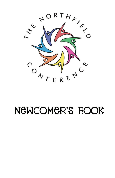

# NEWCOMER'S BOOK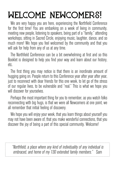# **WELCOME NEWCOMERS!**

We are very happy you are here, experiencing the Northfield Conference for the first time! You are embarking on a week of living in community, meeting new people, listening to speakers, being part of a "family," attending workshops, sitting in Sacred Circle, enjoying music, laughter, dance, and so much more! We hope you feel welcomed by the community and that you will ask for help from any of us at any time.

The Northfield Conference can be a bit overwhelming at first and so this Booklet is designed to help you find your way and learn about our history, etc.

The first thing you may notice is that there is an inordinate amount of hugging going on. People return to this Conference year after year after year, just to reconnect with dear friends for this one week, to let go of the stress of our regular lives, to be vulnerable and "real." This is what we hope you will discover for yourselves.

Perhaps the most important thing for you to remember, as you watch folks reconnecting with big hugs, is that we were all Newcomers at one point, we all remember that initial feeling of discovery.

We hope you will enjoy your week, that you learn things about yourself you may not have been aware of, that you make wonderful connections, that you discover the joy of being a part of this special community. Welcome!

"Northfield, a place where any kind of individuality of any individual is embraced, and home of my 130 extended family members." Sam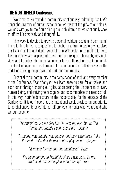## THE NORTHFIELD Conference

Welcome to Northfield: a community continuously redefining itself. We honor the diversity of human experience; we respect the gifts of our elders; we look with joy to the future through our children; and we continually seek to affirm life creatively and thoughtfully.

This week is devoted to growth: personal, spiritual, social and communal. There is time to learn, to question, to doubt, to affirm, to explore what gives our lives meaning and depth. According to Wikipedia, to be multi-faith is to feel an affinity with aspects of more than one religion, philosophy or worldview, and to believe that none is superior to the others. Our goal is to enable people of all ages and backgrounds to experience their fullest selves in the midst of a loving, supportive and nurturing community.

Essential to our community is the participation of each and every member of the Conference. Year after year, we learn anew to care for ourselves and each other through sharing our gifts, appreciating the uniqueness of every human being, and striving to recognize and accommodate the needs of all. In this way, Northfielders share in the responsibility for the success of the Conference. It is our hope that this intentional week provides an opportunity to be challenged, to celebrate our differences, to honor who we are and who we can become.

> "Northfield makes me feel like I'm with my own family. The family and friends I can count on." Eleanor

"It means, new friends, new people, and new adventures. I like the food. I like that there's a lot of play space" Cooper

"It means friends, fun and happiness" Taylor

"I've been coming to Northfield since I was born. To me, Northfield means happiness and family." Kara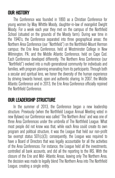## OUR HISTORY

The Conference was founded in 1893 as a Christian Conference for young women by May Whittle Moody, daughter-in-law of evangelist Dwight Moody. For a week each year they met on the campus of the Northfield School (situated on the grounds of the Moody farm). During war time in the 1940's, the Conference separated into three geographical areas: the Northern Area Conference (our "Northfield") on the Northfield-Mount Hermon campus; the Erie Area Conference, held at Westminster College in New Wilmington, PA; and the Middle Atlantic Conference, held on Cape Cod. Each Conference developed differently. The Northern Area Conference (our "Northfield") evolved into a multi-generational community for individuals and families, with program planning emanating from its participants. Through both a secular and spiritual lens, we honor the diversity of the human experience by striving towards honest, open and authentic sharing. In 2007, the Middle Atlantic Conference and in 2013, the Erie Area Conference officially rejoined the Northfield Conference.

## OUR LEADERSHIP STRUCTURE

In the summer of 2013, the Conference began a new leadership structure. Previously (when the Northfield League Annual Meeting voted in new Bylaws) our Conference was called "The Northern Area" and was one of three Area Conferences under the umbrella of The Northfield League. What most people did not know was that, while each Area could create its own program and political structure, it was the League that held our non-profit tax exempt status 501(c)(3); consequently, the League was required to have a Board of Directors that was legally accountable for all the activities of the Area Conferences. For instance, the League held all the investments, controlled all bank accounts, and did all the reporting to the IRS. With the closure of the Erie and Mid- Atlantic Areas, leaving only The Northern Area, the decision was made to legally blend The Northern Area into The Northfield League, creating a single entity.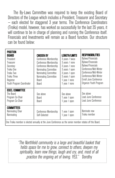The By-Laws Committee was required to keep the existing Board of Directors of the League which includes a President, Treasurer and Secretary — each elected for staggered 3 year terms. The Conference Coordinators (Troika) model, however, has worked so successfully for the last 35 years, it will continue to be in charge of planning and running the Conference itself. Financials and Investments will remain as a Board function. Our structure can be found below:

| <b>POSITION</b><br>BOARD<br>President<br>Treasurer<br>Secretary<br>Troika One<br>Troika Two<br>Troika Three<br>Registrar<br>Youth Program Coordinator | <b>CHOSEN BY</b><br>Conference Membership<br>Conference Membership<br>Conference Membership<br>Nominating Committee<br>Nominating Committee<br>Nominating Committee<br><b>Board</b><br>Board | <b>LENGTH/LIMITS</b><br>3 years / twice<br>3 years / none<br>3 years / none<br>3 years / open<br>3 years / open<br>3 years / open<br>1 year / none<br>1 year / none | RESPONSIBILITIES<br><b>Bylaws/Financials</b><br><b>Bylaws/Financials</b><br><b>Bylaws/Financials</b><br>Conference/Mid-Winter<br>Conference/Mid-Winter<br>Conference/Mid-Winter<br>Enroll June Conference<br>Organize Youth Program |
|-------------------------------------------------------------------------------------------------------------------------------------------------------|----------------------------------------------------------------------------------------------------------------------------------------------------------------------------------------------|---------------------------------------------------------------------------------------------------------------------------------------------------------------------|-------------------------------------------------------------------------------------------------------------------------------------------------------------------------------------------------------------------------------------|
| <b>EXEC. COMMITTEE</b><br>The Board<br>Program Co-Chair<br>Program Co-Chair                                                                           | See above<br><b>Board</b><br>Board                                                                                                                                                           | See above<br>1 year / open<br>1 year / open                                                                                                                         | See above<br>Lead June Conference<br>Lead June Conference                                                                                                                                                                           |
| <b>COMMITTEES</b><br>Nominating Chair<br>Nominating                                                                                                   | Conference Membership<br>Self-Selected                                                                                                                                                       | 1 year / open<br>1 year / open                                                                                                                                      | Nominate new<br>Troika member                                                                                                                                                                                                       |
| One Troika member is elected annually at the June Conference as the senior member rotates off the Board.                                              |                                                                                                                                                                                              |                                                                                                                                                                     |                                                                                                                                                                                                                                     |

"The Northfield community is a large and beautiful basket that holds space for me to grow, connect to others, deepen my spirituality, learn new things, laugh and cry, and, most of all ,practice the ongoing art of loving. YES." Dorothy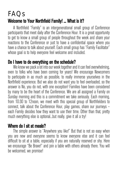## FAQs Welcome to Your Northfield Family! ... What is it?

A Northfield "Family" is an intergenerational small group of Conference participants that meet daily after the Conference Hour. It is a great opportunity to get to know a small group of people throughout the week and share your reactions to the Conference or just to have a confidential space where you have a chance to talk about yourself. Each small group has "Family Facilitator" whose goal is to help everyone feel welcome and included.

## Do I have to do everything on the schedule?

We know we pack a lot into our week together and it can feel overwhelming, even to folks who have been coming for years! We encourage Newcomers to participate in as much as possible, to really immerse yourselves in the Northfield experience. But we also do not want you to feel overloaded, so the answer is No, you do not, with one exception! Families have been considered by many to be the heart of the Conference. We are all assigned a Family on Sunday morning and this is a commitment we take seriously. Each morning, from 10:30 to 12noon, we meet with this special group of Northfielders to connect, talk about the Conference Hour, play games, share our journeys – each Family decides how they want to use their time. Other than that, pretty much everything else is optional...but really, give it all a try!

## Where do I sit at meals?

The simple answer is "Anywhere you like!" But that is not so easy when you are new and everyone seems to know everyone else and it can feel difficult to sit at a table, especially if you are naturally reserved or shy. Here we encourage "Be Brave!" and join a table with others already there. You will be welcomed, we promise!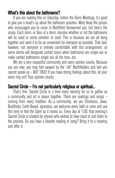## What's this about the bathrooms?

If you are reading this on Saturday, before the Dorm Meetings, it's good to give you a head's up about the bathroom question. Most likely the person who encouraged you to come to Northfield forewarned you, but here's the scoop. Each dorm, or floor of a dorm, decides whether or not the bathrooms will be coed or some variation of coed. This is because we are all living together and want it to be as convenient for everyone as possible. That said, however, not everyone is entirely comfortable with this arrangement, so some dorms will designate certain hours when bathrooms are single-sex or make certain bathrooms single-sex all the time, etc.

We are a very respectful community and every opinion counts. Because you are new, you may feel swayed by the "old" Northfielders and feel you cannot speak up – NOT TRUE! If you have strong feelings about this, let your voice ring out! Your opinion counts.

## Sacred Circle – I'm not particularly religious or spiritual...

That's fine. Sacred Circle is a time every evening for us to gather as a community and sit in peace together. There are readings and songs – coming from every tradition. As a community, we are Christians, Jews, Buddhists, Earth-Based, agnostics...we welcome every faith or none and use this time to feel the Spirit as it moves us. Every day at 1:00, that evening's Sacred Circle is created by anyone who wishes to have input or just listen to the process. Do you have a favorite reading or song? Bring it to a meeting and offer it.